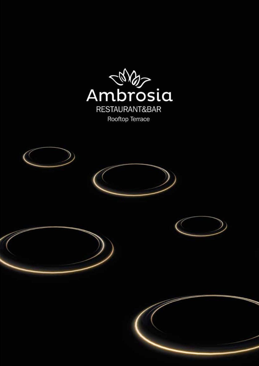

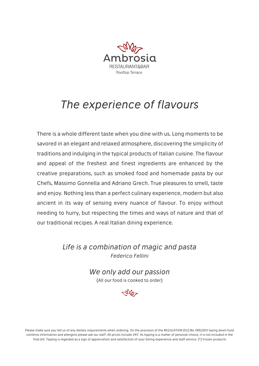

# The experience of flavours

There is a whole different taste when you dine with us. Long moments to be savored in an elegant and relaxed atmosphere, discovering the simplicity of traditions and indulging in the typical products of Italian cuisine. The flavour and appeal of the freshest and finest ingredients are enhanced by the creative preparations, such as smoked food and homemade pasta by our Chefs, Massimo Gonnella and Adriano Grech. True pleasures to smell, taste and enjoy. Nothing less than a perfect culinary experience, modern but also ancient in its way of sensing every nuance of flavour. To enjoy without needing to hurry, but respecting the times and ways of nature and that of our traditional recipes. A real Italian dining experience.

> Life is a combination of magic and pasta Federico Fellini

> > We only add our passion (All our food is cooked to order)



Please make sure you tell us of any dietary requirements when ordering. On the provision of the REGULATION (EU) No 1169/2011 laying down food contents information and allergens please ask our staff. All prices include VAT. As tipping is a matter of personal choice, it is not included in the final bill. Tipping is regarded as a sign of appreciation and satisfaction of your dining experience and staff service. (\*) Frozen products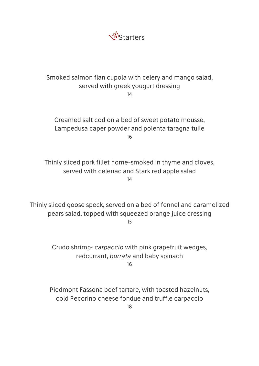

# Smoked salmon flan cupola with celery and mango salad, served with greek yougurt dressing

14

Creamed salt cod on a bed of sweet potato mousse, Lampedusa caper powder and polenta taragna tuile 16

Thinly sliced pork fillet home-smoked in thyme and cloves, served with celeriac and Stark red apple salad 14

Thinly sliced goose speck, served on a bed of fennel and caramelized pears salad, topped with squeezed orange juice dressing 15

> Crudo shrimp\* carpaccio with pink grapefruit wedges, redcurrant, burrata and baby spinach 16

Piedmont Fassona beef tartare, with toasted hazelnuts, cold Pecorino cheese fondue and truffle carpaccio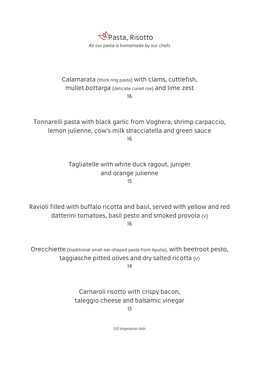

#### Calamarata (thick ring pasta) with clams, cuttlefish, mullet bottarga (delicate cured roe) and lime zest 16

Tonnarelli pasta with black garlic from Voghera, shrimp carpaccio, lemon julienne, cow's milk stracciatella and green sauce 16

# Tagliatelle with white duck ragout, juniper and orange julienne 15

Ravioli filled with buffalo ricotta and basil, served with yellow and red datterini tomatoes, basil pesto and smoked provola (V) 16

Orecchiette (traditional small ear-shaped pasta from Apulia), with beetroot pesto, taggiasche pitted olives and dry salted ricotta (V)

14

Carnaroli risotto with crispy bacon, taleggio cheese and balsamic vinegar 15

(V) Vegetarian dish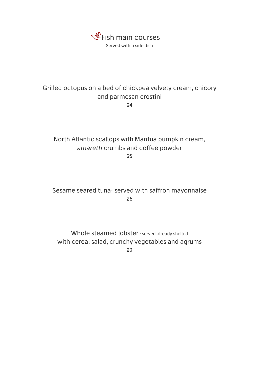

### Grilled octopus on a bed of chickpea velvety cream, chicory and parmesan crostini 24

# North Atlantic scallops with Mantua pumpkin cream, amaretti crumbs and coffee powder

25

Sesame seared tuna\* served with saffron mayonnaise 26

Whole steamed lobster · served already shelled with cereal salad, crunchy vegetables and agrums 29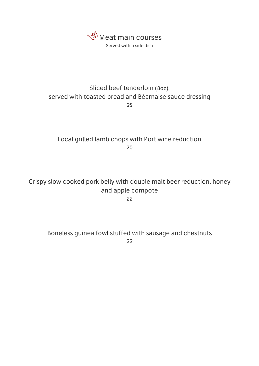

# Sliced beef tenderloin (8oz), served with toasted bread and Béarnaise sauce dressing 25

Local grilled lamb chops with Port wine reduction 20

Crispy slow cooked pork belly with double malt beer reduction, honey and apple compote

22

Boneless guinea fowl stuffed with sausage and chestnuts 22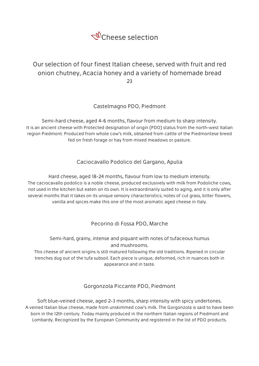

# Our selection of four finest Italian cheese, served with fruit and red onion chutney, Acacia honey and a variety of homemade bread 23

Castelmagno PDO, Piedmont

Semi-hard cheese, aged 4-6 months, flavour from medium to sharp intensity. It is an ancient cheese with Protected designation of origin (PDO) status from the north-west Italian region Piedmont. Produced from whole cow's milk, obtained from cattle of the Piedmontese breed fed on fresh forage or hay from mixed meadows or pasture.

Caciocavallo Podolico del Gargano, Apulia

Hard cheese, aged 18-24 months, flavour from low to medium intensity. The caciocavallo podolico is a noble cheese, produced exclusively with milk from Podoliche cows, not used in the kitchen but eaten on its own. It is extraordinarily suited to aging, and it is only after several months that it takes on its unique sensory characteristics; notes of cut grass, bitter flowers, vanilla and spices make this one of the most aromatic aged cheese in Italy.

Pecorino di Fossa PDO, Marche

Semi-hard, grainy, intense and piquant with notes of tufaceous humus and mushrooms.

This cheese of ancient origins is still matured following the old traditions. Ripened in circular trenches dug out of the tufa subsoil. Each piece is unique, deformed, rich in nuances both in appearance and in taste.

#### Gorgonzola Piccante PDO, Piedmont

Soft blue-veined cheese, aged 2-3 months, sharp intensity with spicy undertones. A veined Italian blue cheese, made from unskimmed cow's milk. The Gorgonzola is said to have been born in the 12th century. Today mainly produced in the northern Italian regions of Piedmont and Lombardy. Recognized by the European Community and registered in the list of PDO products.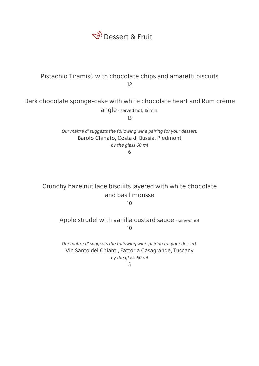

## Pistachio Tiramisù with chocolate chips and amaretti biscuits 12

# Dark chocolate sponge-cake with white chocolate heart and Rum crème

angle · served hot, 15 min.

13

Our maître d' suggests the following wine pairing for your dessert: Barolo Chinato, Costa di Bussia, Piedmont by the glass 60 ml

6

#### Crunchy hazelnut lace biscuits layered with white chocolate and basil mousse  $10$

### Apple strudel with vanilla custard sauce · served hot 10

Our maître d' suggests the following wine pairing for your dessert: Vin Santo del Chianti, Fattoria Casagrande, Tuscany by the glass 60 ml

5